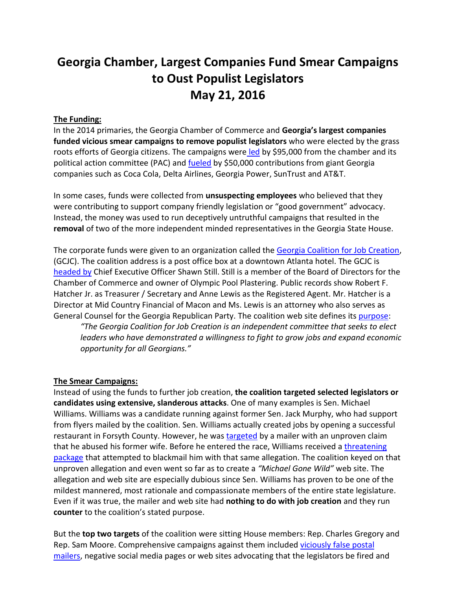# **Georgia Chamber, Largest Companies Fund Smear Campaigns to Oust Populist Legislators May 21, 2016**

## **The Funding:**

In the 2014 primaries, the Georgia Chamber of Commerce and **Georgia's largest companies funded vicious smear campaigns to remove populist legislators** who were elected by the grass roots efforts of Georgia citizens. The campaigns were [led](https://voterga.files.wordpress.com/2016/05/gcjc-money-report1-2014.pdf) by \$95,000 from the chamber and its political action committee (PAC) and **fueled** by \$50,000 contributions from giant Georgia companies such as Coca Cola, Delta Airlines, Georgia Power, SunTrust and AT&T.

In some cases, funds were collected from **unsuspecting employees** who believed that they were contributing to support company friendly legislation or "good government" advocacy. Instead, the money was used to run deceptively untruthful campaigns that resulted in the **removal** of two of the more independent minded representatives in the Georgia State House.

The corporate funds were given to an organization called the [Georgia Coalition for Job Creation,](http://georgiacjc.com/) (GCJC). The coalition address is a post office box at a downtown Atlanta hotel. The GCJC is [headed by](https://voterga.files.wordpress.com/2016/05/gacoalitiononjobs-registration.pdf) Chief Executive Officer Shawn Still. Still is a member of the Board of Directors for the Chamber of Commerce and owner of Olympic Pool Plastering. Public records show Robert F. Hatcher Jr. as Treasurer / Secretary and Anne Lewis as the Registered Agent. Mr. Hatcher is a Director at Mid Country Financial of Macon and Ms. Lewis is an attorney who also serves as General Counsel for the Georgia Republican Party. The coalition web site defines its [purpose:](https://voterga.files.wordpress.com/2016/05/gcjc-web-page.png)

*"The Georgia Coalition for Job Creation is an independent committee that seeks to elect leaders who have demonstrated a willingness to fight to grow jobs and expand economic opportunity for all Georgians."*

#### **The Smear Campaigns:**

Instead of using the funds to further job creation, **the coalition targeted selected legislators or candidates using extensive, slanderous attacks**. One of many examples is Sen. Michael Williams. Williams was a candidate running against former Sen. Jack Murphy, who had support from flyers mailed by the coalition. Sen. Williams actually created jobs by opening a successful restaurant in Forsyth County. However, he wa[s targeted](https://www.youtube.com/watch?v=3K7lQ6R4A4Q) by a mailer with an unproven claim that he abused his former wife. Before he entered the race, Williams received a [threatening](http://politics.blog.ajc.com/2014/02/26/when-qualifying-is-near-tis-the-season-for-blackmail/)  [package](http://politics.blog.ajc.com/2014/02/26/when-qualifying-is-near-tis-the-season-for-blackmail/) that attempted to blackmail him with that same allegation. The coalition keyed on that unproven allegation and even went so far as to create a *"Michael Gone Wild"* web site. The allegation and web site are especially dubious since Sen. Williams has proven to be one of the mildest mannered, most rationale and compassionate members of the entire state legislature. Even if it was true, the mailer and web site had **nothing to do with job creation** and they run **counter** to the coalition's stated purpose.

But the **top two targets** of the coalition were sitting House members: Rep. Charles Gregory and Rep. Sam Moore. Comprehensive campaigns against them included [viciously false postal](https://voterga.files.wordpress.com/2016/05/charles-gregory-gcjc.jpg)  [mailers,](https://voterga.files.wordpress.com/2016/05/charles-gregory-gcjc.jpg) negative social media pages or web sites advocating that the legislators be fired and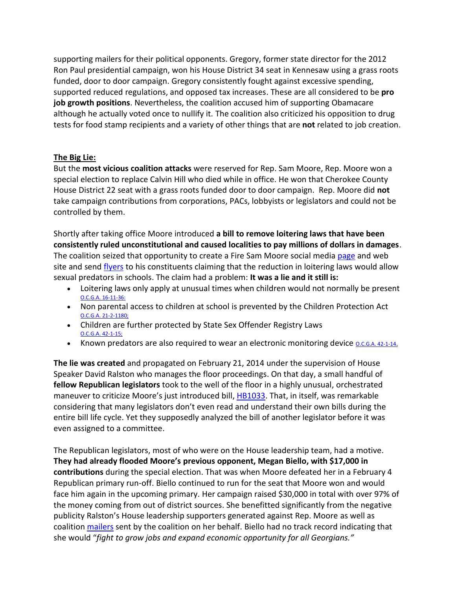supporting mailers for their political opponents. Gregory, former state director for the 2012 Ron Paul presidential campaign, won his House District 34 seat in Kennesaw using a grass roots funded, door to door campaign. Gregory consistently fought against excessive spending, supported reduced regulations, and opposed tax increases. These are all considered to be **pro job growth positions**. Nevertheless, the coalition accused him of supporting Obamacare although he actually voted once to nullify it. The coalition also criticized his opposition to drug tests for food stamp recipients and a variety of other things that are **not** related to job creation.

# **The Big Lie:**

But the **most vicious coalition attacks** were reserved for Rep. Sam Moore, Rep. Moore won a special election to replace Calvin Hill who died while in office. He won that Cherokee County House District 22 seat with a grass roots funded door to door campaign. Rep. Moore did **not**  take campaign contributions from corporations, PACs, lobbyists or legislators and could not be controlled by them.

Shortly after taking office Moore introduced **a bill to remove loitering laws that have been consistently ruled unconstitutional and caused localities to pay millions of dollars in damages**. The coalition seized that opportunity to create a Fire Sam Moore social media [page](https://www.facebook.com/search/top/?q=FIRE%20SAM%20MOORE) and web site and send [flyers](https://voterga.files.wordpress.com/2016/05/sam-moore-cjc-1-front.jpg) to his constituents claiming that the reduction in loitering laws would allow sexual predators in schools. The claim had a problem: **It was a lie and it still is:**

- Loitering laws only apply at unusual times when children would not normally be present [O.C.G.A. 16-11-36:](http://law.justia.com/codes/georgia/2010/title-16/chapter-11/article-2/16-11-36/)
- Non parental access to children at school is prevented by the Children Protection Act [O.C.G.A. 21-2-1180;](http://law.justia.com/codes/georgia/2010/title-50/chapter-21/article-2/50-21-26/)
- Children are further protected by State Sex Offender Registry Laws [O.C.G.A. 42-1-15;](http://gbi.georgia.gov/42-1-15-state-sexual-offender-registry)
- Known predators are also required to wear an electronic monitoring device *o[.](http://gbi.georgia.gov/42-1-14-state-sexual-offender-registry)c.g.A. 42-1-14.*

**The lie was created** and propagated on February 21, 2014 under the supervision of House Speaker David Ralston who manages the floor proceedings. On that day, a small handful of **fellow Republican legislators** took to the well of the floor in a highly unusual, orchestrated maneuver to criticize Moore's just introduced bill, [HB1033.](http://www.legis.ga.gov/legislation/en-US/Display/20132014/HB/1033) That, in itself, was remarkable considering that many legislators don't even read and understand their own bills during the entire bill life cycle. Yet they supposedly analyzed the bill of another legislator before it was even assigned to a committee.

The Republican legislators, most of who were on the House leadership team, had a motive. **They had already flooded Moore's previous opponent, Megan Biello, with \$17,000 in contributions** during the special election. That was when Moore defeated her in a February 4 Republican primary run-off. Biello continued to run for the seat that Moore won and would face him again in the upcoming primary. Her campaign raised \$30,000 in total with over 97% of the money coming from out of district sources. She benefitted significantly from the negative publicity Ralston's House leadership supporters generated against Rep. Moore as well as coalition [mailers](https://voterga.files.wordpress.com/2016/05/megan-biello-cjc-3-front.jpg) sent by the coalition on her behalf. Biello had no track record indicating that she would "*fight to grow jobs and expand economic opportunity for all Georgians."*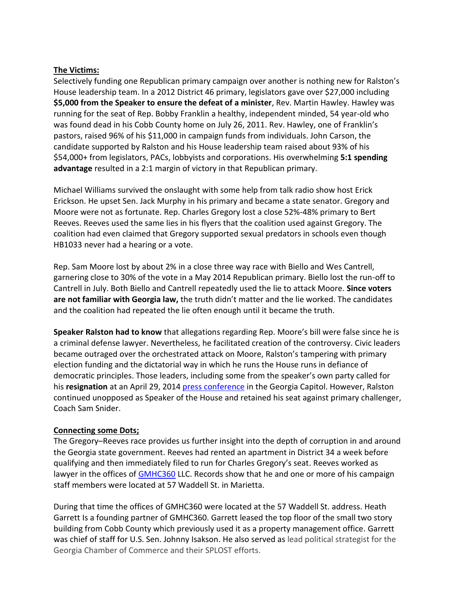## **The Victims:**

Selectively funding one Republican primary campaign over another is nothing new for Ralston's House leadership team. In a 2012 District 46 primary, legislators gave over \$27,000 including **\$5,000 from the Speaker to ensure the defeat of a minister**, Rev. Martin Hawley. Hawley was running for the seat of Rep. Bobby Franklin a healthy, independent minded, 54 year-old who was found dead in his Cobb County home on July 26, 2011. Rev. Hawley, one of Franklin's pastors, raised 96% of his \$11,000 in campaign funds from individuals. John Carson, the candidate supported by Ralston and his House leadership team raised about 93% of his \$54,000+ from legislators, PACs, lobbyists and corporations. His overwhelming **5:1 spending advantage** resulted in a 2:1 margin of victory in that Republican primary.

Michael Williams survived the onslaught with some help from talk radio show host Erick Erickson. He upset Sen. Jack Murphy in his primary and became a state senator. Gregory and Moore were not as fortunate. Rep. Charles Gregory lost a close 52%-48% primary to Bert Reeves. Reeves used the same lies in his flyers that the coalition used against Gregory. The coalition had even claimed that Gregory supported sexual predators in schools even though HB1033 never had a hearing or a vote.

Rep. Sam Moore lost by about 2% in a close three way race with Biello and Wes Cantrell, garnering close to 30% of the vote in a May 2014 Republican primary. Biello lost the run-off to Cantrell in July. Both Biello and Cantrell repeatedly used the lie to attack Moore. **Since voters are not familiar with Georgia law,** the truth didn't matter and the lie worked. The candidates and the coalition had repeated the lie often enough until it became the truth.

**Speaker Ralston had to know** that allegations regarding Rep. Moore's bill were false since he is a criminal defense lawyer. Nevertheless, he facilitated creation of the controversy. Civic leaders became outraged over the orchestrated attack on Moore, Ralston's tampering with primary election funding and the dictatorial way in which he runs the House runs in defiance of democratic principles. Those leaders, including some from the speaker's own party called for his **resignation** at an April 29, 2014 [press conference](https://www.youtube.com/watch?v=uwWKdDYiQ28) in the Georgia Capitol. However, Ralston continued unopposed as Speaker of the House and retained his seat against primary challenger, Coach Sam Snider.

## **Connecting some Dots;**

The Gregory–Reeves race provides us further insight into the depth of corruption in and around the Georgia state government. Reeves had rented an apartment in District 34 a week before qualifying and then immediately filed to run for Charles Gregory's seat. Reeves worked as lawyer in the offices of [GMHC360](http://gmhc360.com/) LLC. Records show that he and one or more of his campaign staff members were located at 57 Waddell St. in Marietta.

During that time the offices of GMHC360 were located at the 57 Waddell St. address. Heath Garrett Is a founding partner of GMHC360. Garrett leased the top floor of the small two story building from Cobb County which previously used it as a property management office. Garrett was chief of staff for U.S. Sen. Johnny Isakson. He also served as lead political strategist for the Georgia Chamber of Commerce and their SPLOST efforts.